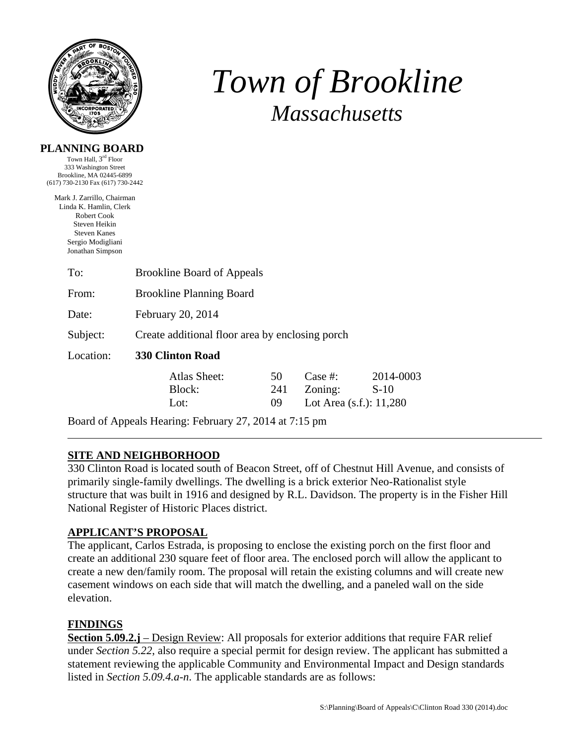

# *Town of Brookline Massachusetts*

### **PLANNING BOARD**

Town Hall, 3rd Floor 333 Washington Street Brookline, MA 02445-6899 (617) 730-2130 Fax (617) 730-2442

Mark J. Zarrillo, Chairman Linda K. Hamlin, Clerk Robert Cook Steven Heikin Steven Kanes Sergio Modigliani Jonathan Simpson

| <b>Brookline Board of Appeals</b>               |     |                            |           |  |  |
|-------------------------------------------------|-----|----------------------------|-----------|--|--|
| <b>Brookline Planning Board</b>                 |     |                            |           |  |  |
| February 20, 2014                               |     |                            |           |  |  |
| Create additional floor area by enclosing porch |     |                            |           |  |  |
| <b>330 Clinton Road</b>                         |     |                            |           |  |  |
| Atlas Sheet:                                    | 50  | Case #:                    | 2014-0003 |  |  |
| Block:                                          | 241 | Zoning:                    | $S-10$    |  |  |
| Lot:                                            | 09  | Lot Area $(s.f.)$ : 11,280 |           |  |  |
|                                                 |     |                            |           |  |  |

Board of Appeals Hearing: February 27, 2014 at 7:15 pm

# **SITE AND NEIGHBORHOOD**

330 Clinton Road is located south of Beacon Street, off of Chestnut Hill Avenue, and consists of primarily single-family dwellings. The dwelling is a brick exterior Neo-Rationalist style structure that was built in 1916 and designed by R.L. Davidson. The property is in the Fisher Hill National Register of Historic Places district.

# **APPLICANT'S PROPOSAL**

The applicant, Carlos Estrada, is proposing to enclose the existing porch on the first floor and create an additional 230 square feet of floor area. The enclosed porch will allow the applicant to create a new den/family room. The proposal will retain the existing columns and will create new casement windows on each side that will match the dwelling, and a paneled wall on the side elevation.

# **FINDINGS**

**Section 5.09.2.j** – Design Review: All proposals for exterior additions that require FAR relief under *Section 5.22*, also require a special permit for design review. The applicant has submitted a statement reviewing the applicable Community and Environmental Impact and Design standards listed in *Section 5.09.4.a-n*. The applicable standards are as follows: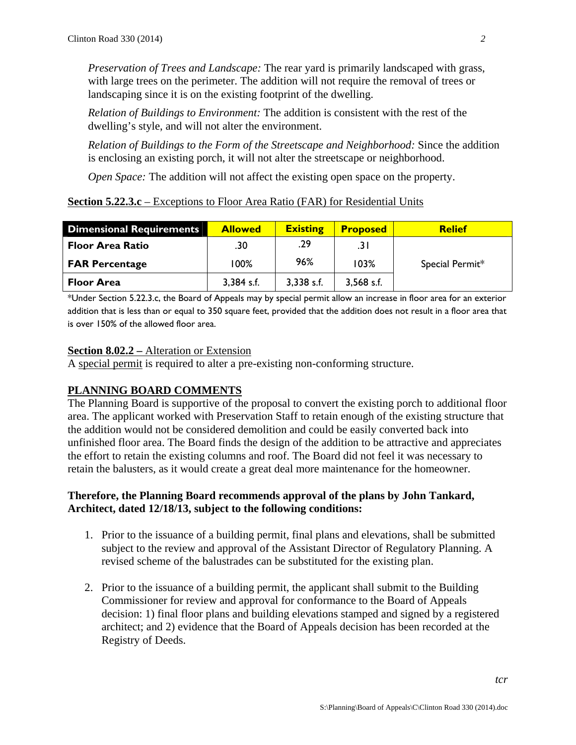*Preservation of Trees and Landscape:* The rear yard is primarily landscaped with grass, with large trees on the perimeter. The addition will not require the removal of trees or landscaping since it is on the existing footprint of the dwelling.

*Relation of Buildings to Environment:* The addition is consistent with the rest of the dwelling's style, and will not alter the environment.

*Relation of Buildings to the Form of the Streetscape and Neighborhood:* Since the addition is enclosing an existing porch, it will not alter the streetscape or neighborhood.

*Open Space:* The addition will not affect the existing open space on the property.

#### **Section 5.22.3.c** – Exceptions to Floor Area Ratio (FAR) for Residential Units

| <b>Dimensional Requirements</b> | <b>Allowed</b> | <b>Existing</b> | <b>Proposed</b> | <b>Relief</b>   |
|---------------------------------|----------------|-----------------|-----------------|-----------------|
| <b>Floor Area Ratio</b>         | .30            | .29             | .31             |                 |
| <b>FAR Percentage</b>           | 100%           | 96%             | 103%            | Special Permit* |
| <b>Floor Area</b>               | 3,384 s.f.     | $3,338$ s.f.    | $3,568$ s.f.    |                 |

\*Under Section 5.22.3.c, the Board of Appeals may by special permit allow an increase in floor area for an exterior addition that is less than or equal to 350 square feet, provided that the addition does not result in a floor area that is over 150% of the allowed floor area.

#### **Section 8.02.2 –** Alteration or Extension

A special permit is required to alter a pre-existing non-conforming structure.

## **PLANNING BOARD COMMENTS**

The Planning Board is supportive of the proposal to convert the existing porch to additional floor area. The applicant worked with Preservation Staff to retain enough of the existing structure that the addition would not be considered demolition and could be easily converted back into unfinished floor area. The Board finds the design of the addition to be attractive and appreciates the effort to retain the existing columns and roof. The Board did not feel it was necessary to retain the balusters, as it would create a great deal more maintenance for the homeowner.

### **Therefore, the Planning Board recommends approval of the plans by John Tankard, Architect, dated 12/18/13, subject to the following conditions:**

- 1. Prior to the issuance of a building permit, final plans and elevations, shall be submitted subject to the review and approval of the Assistant Director of Regulatory Planning. A revised scheme of the balustrades can be substituted for the existing plan.
- 2. Prior to the issuance of a building permit, the applicant shall submit to the Building Commissioner for review and approval for conformance to the Board of Appeals decision: 1) final floor plans and building elevations stamped and signed by a registered architect; and 2) evidence that the Board of Appeals decision has been recorded at the Registry of Deeds.